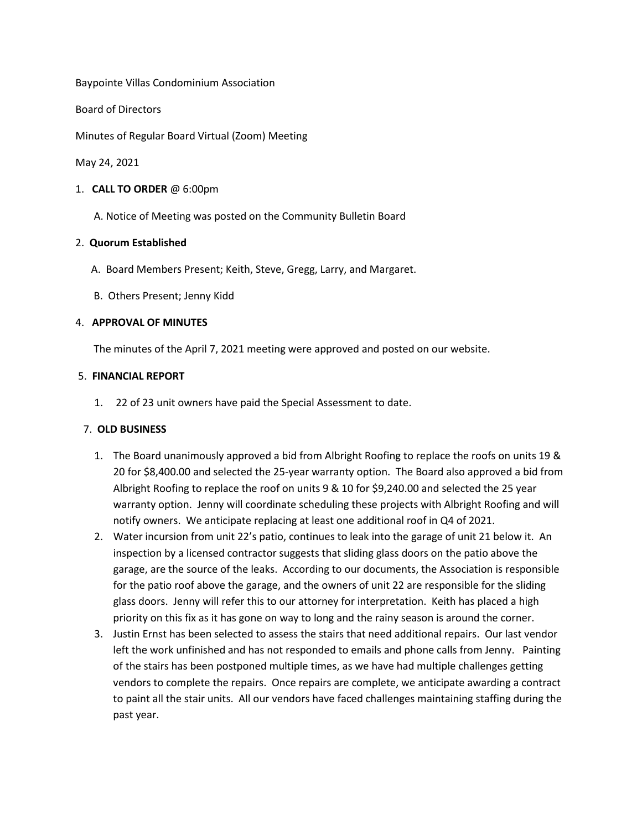Baypointe Villas Condominium Association

Board of Directors

Minutes of Regular Board Virtual (Zoom) Meeting

May 24, 2021

1. **CALL TO ORDER** @ 6:00pm

A. Notice of Meeting was posted on the Community Bulletin Board

### 2. **Quorum Established**

- A. Board Members Present; Keith, Steve, Gregg, Larry, and Margaret.
- B. Others Present; Jenny Kidd

### 4. **APPROVAL OF MINUTES**

The minutes of the April 7, 2021 meeting were approved and posted on our website.

### 5. **FINANCIAL REPORT**

1. 22 of 23 unit owners have paid the Special Assessment to date.

## 7. **OLD BUSINESS**

- 1. The Board unanimously approved a bid from Albright Roofing to replace the roofs on units 19 & 20 for \$8,400.00 and selected the 25-year warranty option. The Board also approved a bid from Albright Roofing to replace the roof on units 9 & 10 for \$9,240.00 and selected the 25 year warranty option. Jenny will coordinate scheduling these projects with Albright Roofing and will notify owners. We anticipate replacing at least one additional roof in Q4 of 2021.
- 2. Water incursion from unit 22's patio, continues to leak into the garage of unit 21 below it. An inspection by a licensed contractor suggests that sliding glass doors on the patio above the garage, are the source of the leaks. According to our documents, the Association is responsible for the patio roof above the garage, and the owners of unit 22 are responsible for the sliding glass doors. Jenny will refer this to our attorney for interpretation. Keith has placed a high priority on this fix as it has gone on way to long and the rainy season is around the corner.
- 3. Justin Ernst has been selected to assess the stairs that need additional repairs. Our last vendor left the work unfinished and has not responded to emails and phone calls from Jenny. Painting of the stairs has been postponed multiple times, as we have had multiple challenges getting vendors to complete the repairs. Once repairs are complete, we anticipate awarding a contract to paint all the stair units. All our vendors have faced challenges maintaining staffing during the past year.